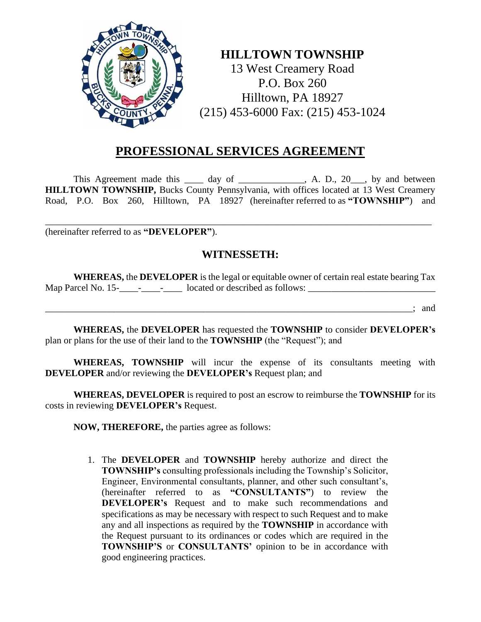

## **HILLTOWN TOWNSHIP**

13 West Creamery Road P.O. Box 260 Hilltown, PA 18927 (215) 453-6000 Fax: (215) 453-1024

## **PROFESSIONAL SERVICES AGREEMENT**

This Agreement made this \_\_\_\_ day of \_\_\_\_\_\_\_\_\_\_\_, A. D., 20\_\_, by and between **HILLTOWN TOWNSHIP,** Bucks County Pennsylvania, with offices located at 13 West Creamery Road, P.O. Box 260, Hilltown, PA 18927 (hereinafter referred to as **"TOWNSHIP"**) and

(hereinafter referred to as **"DEVELOPER"**).

## **WITNESSETH:**

\_\_\_\_\_\_\_\_\_\_\_\_\_\_\_\_\_\_\_\_\_\_\_\_\_\_\_\_\_\_\_\_\_\_\_\_\_\_\_\_\_\_\_\_\_\_\_\_\_\_\_\_\_\_\_\_\_\_\_\_\_\_\_\_\_\_\_\_\_\_\_\_\_\_\_\_\_\_\_\_\_\_

**WHEREAS,** the **DEVELOPER** is the legal or equitable owner of certain real estate bearing Tax Map Parcel No. 15-\_\_\_\_-\_\_\_\_-\_\_\_\_ located or described as follows: \_\_\_\_\_\_\_\_\_\_\_\_\_\_\_\_\_\_\_\_\_\_\_\_\_\_\_

 $\therefore$  and

**WHEREAS,** the **DEVELOPER** has requested the **TOWNSHIP** to consider **DEVELOPER's** plan or plans for the use of their land to the **TOWNSHIP** (the "Request"); and

**WHEREAS, TOWNSHIP** will incur the expense of its consultants meeting with **DEVELOPER** and/or reviewing the **DEVELOPER's** Request plan; and

**WHEREAS, DEVELOPER** is required to post an escrow to reimburse the **TOWNSHIP** for its costs in reviewing **DEVELOPER's** Request.

**NOW, THEREFORE,** the parties agree as follows:

1. The **DEVELOPER** and **TOWNSHIP** hereby authorize and direct the **TOWNSHIP's** consulting professionals including the Township's Solicitor, Engineer, Environmental consultants, planner, and other such consultant's, (hereinafter referred to as **"CONSULTANTS"**) to review the **DEVELOPER's** Request and to make such recommendations and specifications as may be necessary with respect to such Request and to make any and all inspections as required by the **TOWNSHIP** in accordance with the Request pursuant to its ordinances or codes which are required in the **TOWNSHIP'S** or **CONSULTANTS'** opinion to be in accordance with good engineering practices.